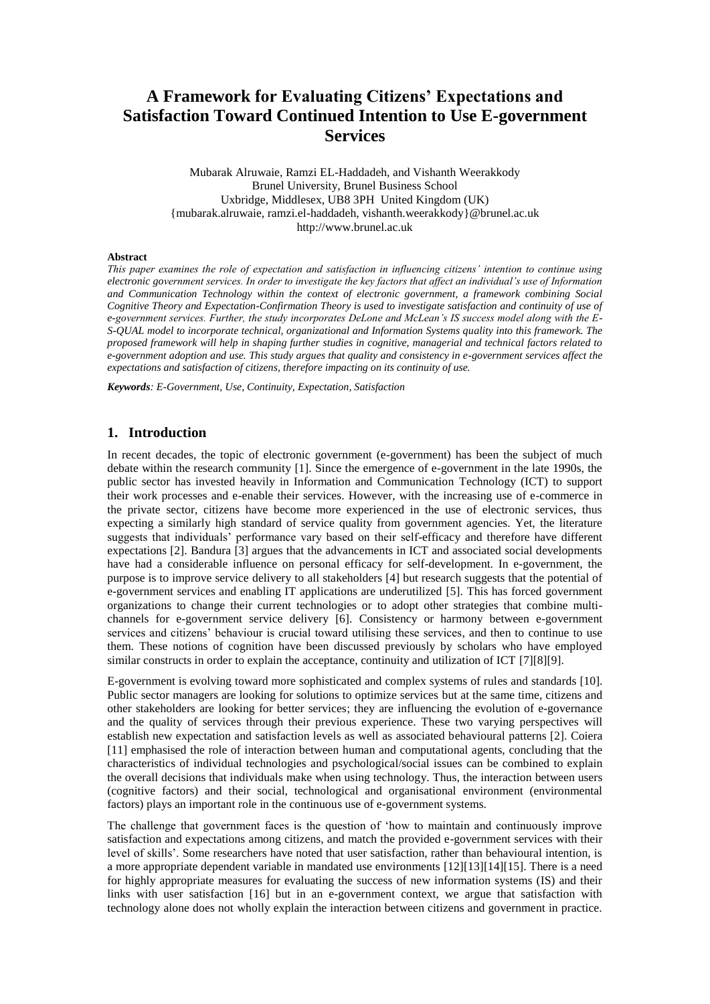# **A Framework for Evaluating Citizens' Expectations and Satisfaction Toward Continued Intention to Use E-government Services**

Mubarak Alruwaie, Ramzi EL-Haddadeh, and Vishanth Weerakkody Brunel University, Brunel Business School Uxbridge, Middlesex, UB8 3PH United Kingdom (UK) {mubarak.alruwaie, ramzi.el-haddadeh, vishanth.weerakkody}@brunel.ac.uk http://www.brunel.ac.uk

#### **Abstract**

*This paper examines the role of expectation and satisfaction in influencing citizens' intention to continue using electronic government services. In order to investigate the key factors that affect an individual's use of Information and Communication Technology within the context of electronic government, a framework combining Social Cognitive Theory and Expectation-Confirmation Theory is used to investigate satisfaction and continuity of use of e-government services. Further, the study incorporates DeLone and McLean's IS success model along with the E-S-QUAL model to incorporate technical, organizational and Information Systems quality into this framework. The proposed framework will help in shaping further studies in cognitive, managerial and technical factors related to e-government adoption and use. This study argues that quality and consistency in e-government services affect the expectations and satisfaction of citizens, therefore impacting on its continuity of use.*

*Keywords: E-Government, Use, Continuity, Expectation, Satisfaction*

#### **1. Introduction**

In recent decades, the topic of electronic government (e-government) has been the subject of much debate within the research community [1]. Since the emergence of e-government in the late 1990s, the public sector has invested heavily in Information and Communication Technology (ICT) to support their work processes and e-enable their services. However, with the increasing use of e-commerce in the private sector, citizens have become more experienced in the use of electronic services, thus expecting a similarly high standard of service quality from government agencies. Yet, the literature suggests that individuals' performance vary based on their self-efficacy and therefore have different expectations [\[2\].](#page-7-0) Bandura [\[3\]](#page-7-1) argues that the advancements in ICT and associated social developments have had a considerable influence on personal efficacy for self-development. In e-government, the purpose is to improve service delivery to all stakeholders [\[4\]](#page-7-2) but research suggests that the potential of e-government services and enabling IT applications are underutilized [\[5\].](#page-7-3) This has forced government organizations to change their current technologies or to adopt other strategies that combine multichannels for e-government service delivery [\[6\].](#page-7-4) Consistency or harmony between e-government services and citizens' behaviour is crucial toward utilising these services, and then to continue to use them. These notions of cognition have been discussed previously by scholars who have employed similar constructs in order to explain the acceptance, continuity and utilization of ICT [\[7\]\[8\]](#page-7-5)[\[9\].](#page-7-6)

E-government is evolving toward more sophisticated and complex systems of rules and standards [\[10\].](#page-7-7) Public sector managers are looking for solutions to optimize services but at the same time, citizens and other stakeholders are looking for better services; they are influencing the evolution of e-governance and the quality of services through their previous experience. These two varying perspectives will establish new expectation and satisfaction levels as well as associated behavioural patterns [\[2\].](#page-7-0) Coiera [\[11\]](#page-7-8) emphasised the role of interaction between human and computational agents, concluding that the characteristics of individual technologies and psychological/social issues can be combined to explain the overall decisions that individuals make when using technology. Thus, the interaction between users (cognitive factors) and their social, technological and organisational environment (environmental factors) plays an important role in the continuous use of e-government systems.

The challenge that government faces is the question of 'how to maintain and continuously improve satisfaction and expectations among citizens, and match the provided e-government services with their level of skills'. Some researchers have noted that user satisfaction, rather than behavioural intention, is a more appropriate dependent variable in mandated use environments [\[12\]\[13\]](#page-7-9)[\[14\]\[15\].](#page-7-10) There is a need for highly appropriate measures for evaluating the success of new information systems (IS) and their links with user satisfaction [\[16\]](#page-7-11) but in an e-government context, we argue that satisfaction with technology alone does not wholly explain the interaction between citizens and government in practice.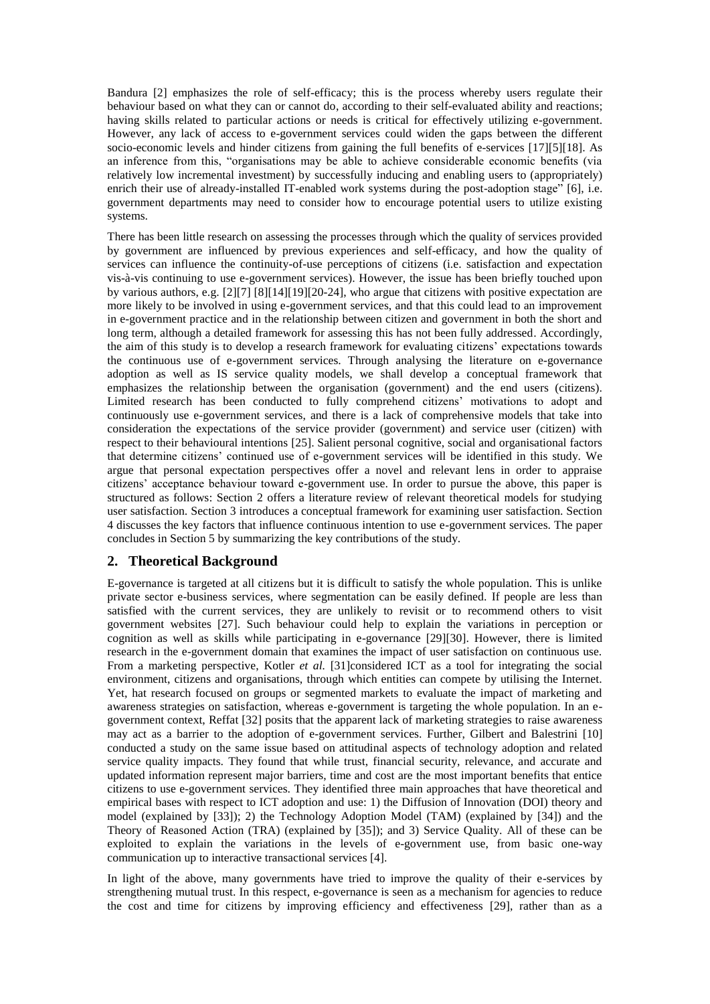Bandura [\[2\]](#page-7-0) emphasizes the role of self-efficacy; this is the process whereby users regulate their behaviour based on what they can or cannot do, according to their self-evaluated ability and reactions; having skills related to particular actions or needs is critical for effectively utilizing e-government. However, any lack of access to e-government services could widen the gaps between the different socio-economic levels and hinder citizens from gaining the full benefits of e-services [\[17\]\[5\]](#page-7-12)[\[18\].](#page-7-13) As an inference from this, "organisations may be able to achieve considerable economic benefits (via relatively low incremental investment) by successfully inducing and enabling users to (appropriately) enrich their use of already-installed IT-enabled work systems during the post-adoption stage" [\[6\],](#page-7-4) i.e. government departments may need to consider how to encourage potential users to utilize existing systems.

There has been little research on assessing the processes through which the quality of services provided by government are influenced by previous experiences and self-efficacy, and how the quality of services can influence the continuity-of-use perceptions of citizens (i.e. satisfaction and expectation vis-à-vis continuing to use e-government services). However, the issue has been briefly touched upon by various authors, e.g. [\[2\]\[7\]](#page-7-0) [\[8\]\[14\]\[](#page-7-14)19][20-24], who argue that citizens with positive expectation are more likely to be involved in using e-government services, and that this could lead to an improvement in e-government practice and in the relationship between citizen and government in both the short and long term, although a detailed framework for assessing this has not been fully addressed. Accordingly, the aim of this study is to develop a research framework for evaluating citizens' expectations towards the continuous use of e-government services. Through analysing the literature on e-governance adoption as well as IS service quality models, we shall develop a conceptual framework that emphasizes the relationship between the organisation (government) and the end users (citizens). Limited research has been conducted to fully comprehend citizens' motivations to adopt and continuously use e-government services, and there is a lack of comprehensive models that take into consideration the expectations of the service provider (government) and service user (citizen) with respect to their behavioural intentions [\[25\].](#page-8-0) Salient personal cognitive, social and organisational factors that determine citizens' continued use of e-government services will be identified in this study. We argue that personal expectation perspectives offer a novel and relevant lens in order to appraise citizens' acceptance behaviour toward e-government use. In order to pursue the above, this paper is structured as follows: Section 2 offers a literature review of relevant theoretical models for studying user satisfaction. Section 3 introduces a conceptual framework for examining user satisfaction. Section 4 discusses the key factors that influence continuous intention to use e-government services. The paper concludes in Section 5 by summarizing the key contributions of the study.

### **2. Theoretical Background**

E-governance is targeted at all citizens but it is difficult to satisfy the whole population. This is unlike private sector e-business services, where segmentation can be easily defined. If people are less than satisfied with the current services, they are unlikely to revisit or to recommend others to visit government websites [\[27\].](#page-8-1) Such behaviour could help to explain the variations in perception or cognition as well as skills while participating in e-governance [\[29\]\[30\].](#page-8-2) However, there is limited research in the e-government domain that examines the impact of user satisfaction on continuous use. From a marketing perspective, Kotler *et al.* [\[31\]c](#page-8-3)onsidered ICT as a tool for integrating the social environment, citizens and organisations, through which entities can compete by utilising the Internet. Yet, hat research focused on groups or segmented markets to evaluate the impact of marketing and awareness strategies on satisfaction, whereas e-government is targeting the whole population. In an egovernment context, Reffat [\[32\]](#page-8-4) posits that the apparent lack of marketing strategies to raise awareness may act as a barrier to the adoption of e-government services. Further, Gilbert and Balestrini [\[10\]](#page-7-7) conducted a study on the same issue based on attitudinal aspects of technology adoption and related service quality impacts. They found that while trust, financial security, relevance, and accurate and updated information represent major barriers, time and cost are the most important benefits that entice citizens to use e-government services. They identified three main approaches that have theoretical and empirical bases with respect to ICT adoption and use: 1) the Diffusion of Innovation (DOI) theory and model (explained by [\[33\]\)](#page-8-5); 2) the Technology Adoption Model (TAM) (explained by [\[34\]\)](#page-8-6) and the Theory of Reasoned Action (TRA) (explained by [\[35\]\)](#page-8-7); and 3) Service Quality. All of these can be exploited to explain the variations in the levels of e-government use, from basic one-way communication up to interactive transactional services [\[4\].](#page-7-2)

In light of the above, many governments have tried to improve the quality of their e-services by strengthening mutual trust. In this respect, e-governance is seen as a mechanism for agencies to reduce the cost and time for citizens by improving efficiency and effectiveness [29], rather than as a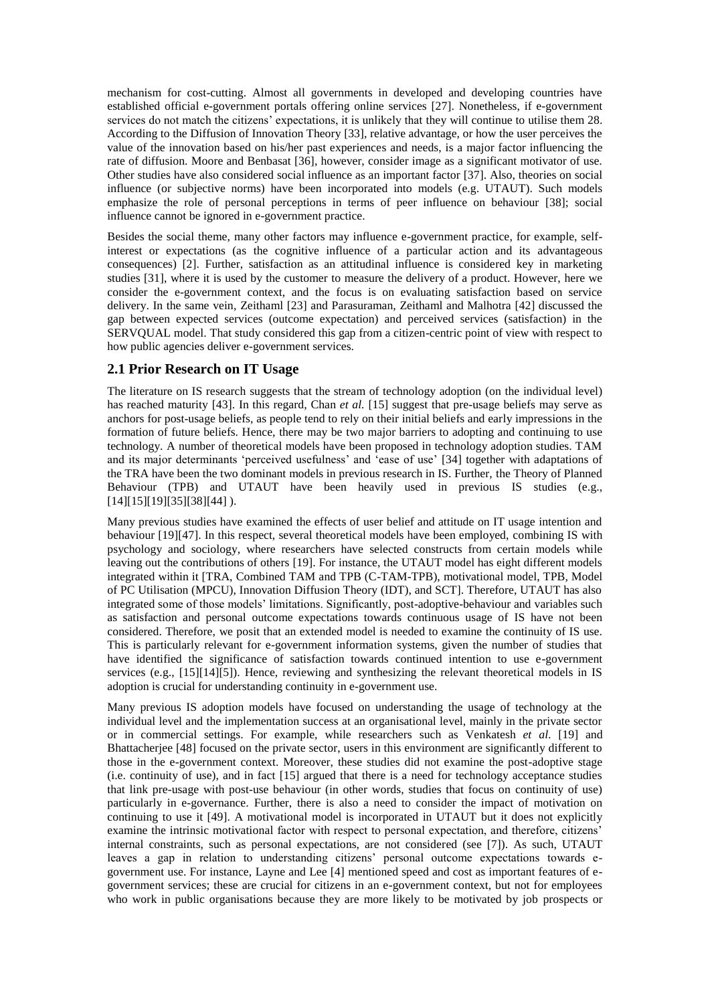mechanism for cost-cutting. Almost all governments in developed and developing countries have established official e-government portals offering online services [27]. Nonetheless, if e-government services do not match the citizens' expectations, it is unlikely that they will continue to utilise them 28. According to the Diffusion of Innovation Theory [\[33\],](#page-8-5) relative advantage, or how the user perceives the value of the innovation based on his/her past experiences and needs, is a major factor influencing the rate of diffusion. Moore and Benbasat [\[36\],](#page-8-8) however, consider image as a significant motivator of use. Other studies have also considered social influence as an important factor [\[37\].](#page-8-9) Also, theories on social influence (or subjective norms) have been incorporated into models (e.g. UTAUT). Such models emphasize the role of personal perceptions in terms of peer influence on behaviour [\[38\];](#page-8-10) social influence cannot be ignored in e-government practice.

Besides the social theme, many other factors may influence e-government practice, for example, selfinterest or expectations (as the cognitive influence of a particular action and its advantageous consequences) [\[2\].](#page-7-0) Further, satisfaction as an attitudinal influence is considered key in marketing studies [\[31\],](#page-8-3) where it is used by the customer to measure the delivery of a product. However, here we consider the e-government context, and the focus is on evaluating satisfaction based on service delivery. In the same vein, Zeithaml [\[23\]](#page-7-15) and Parasuraman, Zeithaml and Malhotra [\[42\]](#page-8-11) discussed the gap between expected services (outcome expectation) and perceived services (satisfaction) in the SERVQUAL model. That study considered this gap from a citizen-centric point of view with respect to how public agencies deliver e-government services.

### **2.1 Prior Research on IT Usage**

The literature on IS research suggests that the stream of technology adoption (on the individual level) has reached maturity [\[43\].](#page-8-12) In this regard, Chan *et al.* [\[15\]](#page-7-16) suggest that pre-usage beliefs may serve as anchors for post-usage beliefs, as people tend to rely on their initial beliefs and early impressions in the formation of future beliefs. Hence, there may be two major barriers to adopting and continuing to use technology. A number of theoretical models have been proposed in technology adoption studies. TAM and its major determinants 'perceived usefulness' and 'ease of use' [\[34\]](#page-8-6) together with adaptations of the TRA have been the two dominant models in previous research in IS. Further, the Theory of Planned Behaviour (TPB) and UTAUT have been heavily used in previous IS studies (e.g., [14][15][19[\]\[35\]\[](#page-8-7)38[\]\[44\]](#page-8-13) ).

Many previous studies have examined the effects of user belief and attitude on IT usage intention and behaviour [\[19\]\[47\].](#page-7-17) In this respect, several theoretical models have been employed, combining IS with psychology and sociology, where researchers have selected constructs from certain models while leaving out the contributions of others [\[19\].](#page-7-17) For instance, the UTAUT model has eight different models integrated within it [TRA, Combined TAM and TPB (C-TAM-TPB), motivational model, TPB, Model of PC Utilisation (MPCU), Innovation Diffusion Theory (IDT), and SCT]. Therefore, UTAUT has also integrated some of those models' limitations. Significantly, post-adoptive-behaviour and variables such as satisfaction and personal outcome expectations towards continuous usage of IS have not been considered. Therefore, we posit that an extended model is needed to examine the continuity of IS use. This is particularly relevant for e-government information systems, given the number of studies that have identified the significance of satisfaction towards continued intention to use e-government services (e.g.,  $[15][14][5]$ ). Hence, reviewing and synthesizing the relevant theoretical models in IS adoption is crucial for understanding continuity in e-government use.

Many previous IS adoption models have focused on understanding the usage of technology at the individual level and the implementation success at an organisational level, mainly in the private sector or in commercial settings. For example, while researchers such as Venkatesh *et al*. [\[19\]](#page-7-17) and Bhattacherjee [\[48\]](#page-8-14) focused on the private sector, users in this environment are significantly different to those in the e-government context. Moreover, these studies did not examine the post-adoptive stage (i.e. continuity of use), and in fact [\[15\]](#page-7-16) argued that there is a need for technology acceptance studies that link pre-usage with post-use behaviour (in other words, studies that focus on continuity of use) particularly in e-governance. Further, there is also a need to consider the impact of motivation on continuing to use it [\[49\].](#page-8-15) A motivational model is incorporated in UTAUT but it does not explicitly examine the intrinsic motivational factor with respect to personal expectation, and therefore, citizens' internal constraints, such as personal expectations, are not considered (see [\[7\]\)](#page-7-5). As such, UTAUT leaves a gap in relation to understanding citizens' personal outcome expectations towards egovernment use. For instance, Layne and Lee [\[4\]](#page-7-2) mentioned speed and cost as important features of egovernment services; these are crucial for citizens in an e-government context, but not for employees who work in public organisations because they are more likely to be motivated by job prospects or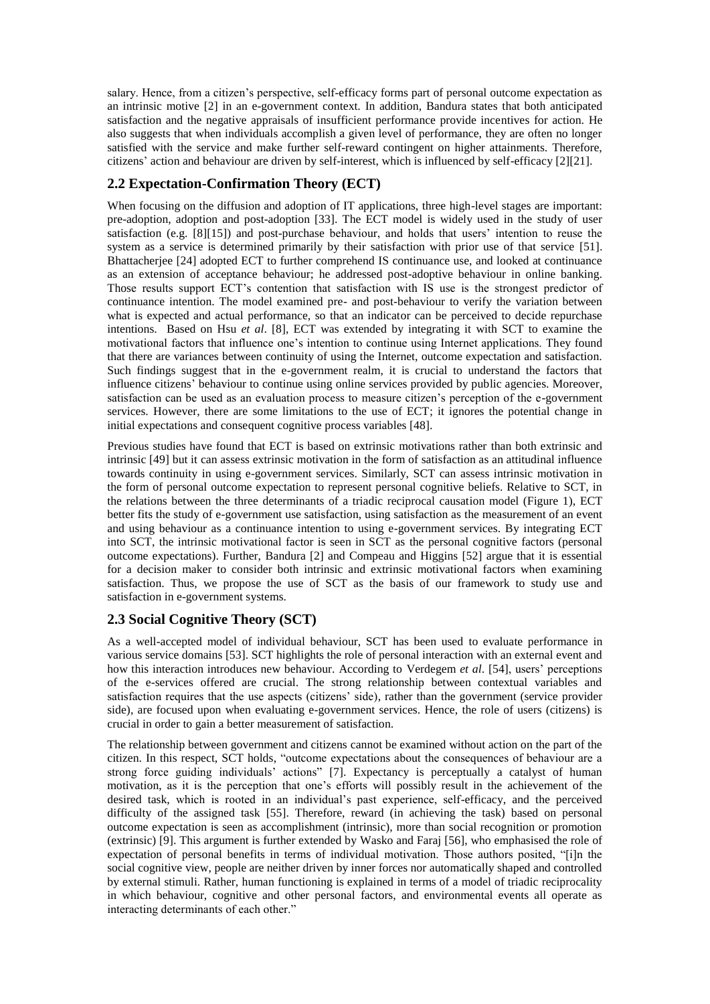salary. Hence, from a citizen's perspective, self-efficacy forms part of personal outcome expectation as an intrinsic motive [\[2\]](#page-7-0) in an e-government context. In addition, Bandura states that both anticipated satisfaction and the negative appraisals of insufficient performance provide incentives for action. He also suggests that when individuals accomplish a given level of performance, they are often no longer satisfied with the service and make further self-reward contingent on higher attainments. Therefore, citizens' action and behaviour are driven by self-interest, which is influenced by self-efficacy [\[2\]\[21\].](#page-7-0)

# **2.2 Expectation-Confirmation Theory (ECT)**

When focusing on the diffusion and adoption of IT applications, three high-level stages are important: pre-adoption, adoption and post-adoption [\[33\].](#page-8-5) The ECT model is widely used in the study of user satisfaction (e.g. [\[8\]\[15\]\)](#page-7-14) and post-purchase behaviour, and holds that users' intention to reuse the system as a service is determined primarily by their satisfaction with prior use of that service [\[51\].](#page-8-16) Bhattacherjee [\[24\]](#page-7-18) adopted ECT to further comprehend IS continuance use, and looked at continuance as an extension of acceptance behaviour; he addressed post-adoptive behaviour in online banking. Those results support ECT's contention that satisfaction with IS use is the strongest predictor of continuance intention. The model examined pre- and post-behaviour to verify the variation between what is expected and actual performance, so that an indicator can be perceived to decide repurchase intentions. Based on Hsu *et al*. [\[8\],](#page-7-14) ECT was extended by integrating it with SCT to examine the motivational factors that influence one's intention to continue using Internet applications. They found that there are variances between continuity of using the Internet, outcome expectation and satisfaction. Such findings suggest that in the e-government realm, it is crucial to understand the factors that influence citizens' behaviour to continue using online services provided by public agencies. Moreover, satisfaction can be used as an evaluation process to measure citizen's perception of the e-government services. However, there are some limitations to the use of ECT; it ignores the potential change in initial expectations and consequent cognitive process variables [\[48\].](#page-8-14)

Previous studies have found that ECT is based on extrinsic motivations rather than both extrinsic and intrinsic [\[49\]](#page-8-15) but it can assess extrinsic motivation in the form of satisfaction as an attitudinal influence towards continuity in using e-government services. Similarly, SCT can assess intrinsic motivation in the form of personal outcome expectation to represent personal cognitive beliefs. Relative to SCT, in the relations between the three determinants of a triadic reciprocal causation model (Figure 1), ECT better fits the study of e-government use satisfaction, using satisfaction as the measurement of an event and using behaviour as a continuance intention to using e-government services. By integrating ECT into SCT, the intrinsic motivational factor is seen in SCT as the personal cognitive factors (personal outcome expectations). Further, Bandura [\[2\]](#page-7-0) and Compeau and Higgins [\[52\]](#page-8-17) argue that it is essential for a decision maker to consider both intrinsic and extrinsic motivational factors when examining satisfaction. Thus, we propose the use of SCT as the basis of our framework to study use and satisfaction in e-government systems.

# **2.3 Social Cognitive Theory (SCT)**

As a well-accepted model of individual behaviour, SCT has been used to evaluate performance in various service domains [\[53\].](#page-8-18) SCT highlights the role of personal interaction with an external event and how this interaction introduces new behaviour. According to Verdegem *et al*. [\[54\],](#page-9-0) users' perceptions of the e-services offered are crucial. The strong relationship between contextual variables and satisfaction requires that the use aspects (citizens' side), rather than the government (service provider side), are focused upon when evaluating e-government services. Hence, the role of users (citizens) is crucial in order to gain a better measurement of satisfaction.

The relationship between government and citizens cannot be examined without action on the part of the citizen. In this respect, SCT holds, "outcome expectations about the consequences of behaviour are a strong force guiding individuals' actions" [\[7\].](#page-7-5) Expectancy is perceptually a catalyst of human motivation, as it is the perception that one's efforts will possibly result in the achievement of the desired task, which is rooted in an individual's past experience, self-efficacy, and the perceived difficulty of the assigned task [\[55\].](#page-9-1) Therefore, reward (in achieving the task) based on personal outcome expectation is seen as accomplishment (intrinsic), more than social recognition or promotion (extrinsic) [\[9\].](#page-7-6) This argument is further extended by Wasko and Faraj [\[56\],](#page-9-2) who emphasised the role of expectation of personal benefits in terms of individual motivation. Those authors posited, "[i]n the social cognitive view, people are neither driven by inner forces nor automatically shaped and controlled by external stimuli. Rather, human functioning is explained in terms of a model of triadic reciprocality in which behaviour, cognitive and other personal factors, and environmental events all operate as interacting determinants of each other."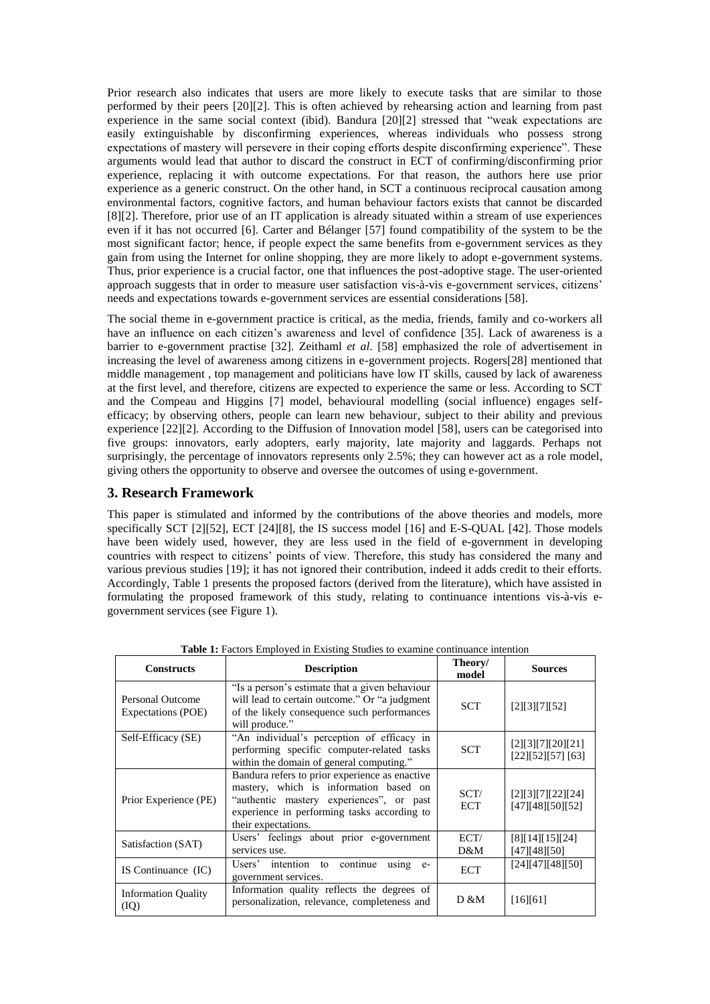Prior research also indicates that users are more likely to execute tasks that are similar to those performed by their peers [\[20\]\[2\].](#page-7-19) This is often achieved by rehearsing action and learning from past experience in the same social context (ibid). Bandura [\[20\]\[2\]](#page-7-19) stressed that "weak expectations are easily extinguishable by disconfirming experiences, whereas individuals who possess strong expectations of mastery will persevere in their coping efforts despite disconfirming experience". These arguments would lead that author to discard the construct in ECT of confirming/disconfirming prior experience, replacing it with outcome expectations. For that reason, the authors here use prior experience as a generic construct. On the other hand, in SCT a continuous reciprocal causation among environmental factors, cognitive factors, and human behaviour factors exists that cannot be discarded [\[8\]\[2\].](#page-7-14) Therefore, prior use of an IT application is already situated within a stream of use experiences even if it has not occurred [\[6\].](#page-7-4) Carter and Bélanger [\[57\]](#page-9-3) found compatibility of the system to be the most significant factor; hence, if people expect the same benefits from e-government services as they gain from using the Internet for online shopping, they are more likely to adopt e-government systems. Thus, prior experience is a crucial factor, one that influences the post-adoptive stage. The user-oriented approach suggests that in order to measure user satisfaction vis-à-vis e-government services, citizens' needs and expectations towards e-government services are essential considerations [\[58\].](#page-9-4)

The social theme in e-government practice is critical, as the media, friends, family and co-workers all have an influence on each citizen's awareness and level of confidence [\[35\].](#page-8-7) Lack of awareness is a barrier to e-government practise [\[32\].](#page-8-4) Zeithaml *et al*. [\[58\]](#page-9-4) emphasized the role of advertisement in increasing the level of awareness among citizens in e-government projects. Roger[s\[28\]](#page-8-19) mentioned that middle management , top management and politicians have low IT skills, caused by lack of awareness at the first level, and therefore, citizens are expected to experience the same or less. According to SCT and the Compeau and Higgins [\[7\]](#page-7-5) model, behavioural modelling (social influence) engages selfefficacy; by observing others, people can learn new behaviour, subject to their ability and previous experience [\[22\]\[2\].](#page-7-20) According to the Diffusion of Innovation model [\[58\],](#page-9-4) users can be categorised into five groups: innovators, early adopters, early majority, late majority and laggards. Perhaps not surprisingly, the percentage of innovators represents only 2.5%; they can however act as a role model, giving others the opportunity to observe and oversee the outcomes of using e-government.

### **3. Research Framework**

This paper is stimulated and informed by the contributions of the above theories and models, more specifically SCT [\[2\]\[52\],](#page-7-0) ECT [\[24\]\[8\],](#page-7-18) the IS success model [\[16\]](#page-7-11) and E-S-QUAL [\[42\].](#page-8-11) Those models have been widely used, however, they are less used in the field of e-government in developing countries with respect to citizens' points of view. Therefore, this study has considered the many and various previous studies [\[19\];](#page-7-17) it has not ignored their contribution, indeed it adds credit to their efforts. Accordingly, Table 1 presents the proposed factors (derived from the literature), which have assisted in formulating the proposed framework of this study, relating to continuance intentions vis-à-vis egovernment services (see Figure 1).

| <b>Constructs</b>                                    | <b>Description</b>                                                                                                                                                                                         | Theory/<br>model   | <b>Sources</b>                        |
|------------------------------------------------------|------------------------------------------------------------------------------------------------------------------------------------------------------------------------------------------------------------|--------------------|---------------------------------------|
| <b>Personal Outcome</b><br><b>Expectations (POE)</b> | "Is a person's estimate that a given behaviour<br>will lead to certain outcome." Or "a judgment<br>of the likely consequence such performances<br>will produce."                                           | <b>SCT</b>         | [2][3][7][52]                         |
| Self-Efficacy (SE)                                   | "An individual's perception of efficacy in<br>performing specific computer-related tasks<br>within the domain of general computing."                                                                       | <b>SCT</b>         | [2][3][7][20][21]<br>[22][52][57][63] |
| Prior Experience (PE)                                | Bandura refers to prior experience as enactive<br>mastery, which is information based on<br>"authentic mastery experiences", or past<br>experience in performing tasks according to<br>their expectations. | SCT/<br><b>ECT</b> | [2][3][7][22][24]<br>[47][48][50][52] |
| Satisfaction (SAT)                                   | Users' feelings about prior e-government<br>services use.                                                                                                                                                  | ECT/<br>D&M        | [8][14][15][24]<br>[47][48][50]       |
| IS Continuance (IC)                                  | Users' intention to<br>continue<br>using<br>$e-$<br>government services.                                                                                                                                   | <b>ECT</b>         | [24][47][48][50]                      |
| <b>Information Quality</b><br>(IO)                   | Information quality reflects the degrees of<br>personalization, relevance, completeness and                                                                                                                | D &M               | [16][61]                              |

**Table 1:** Factors Employed in Existing Studies to examine continuance intention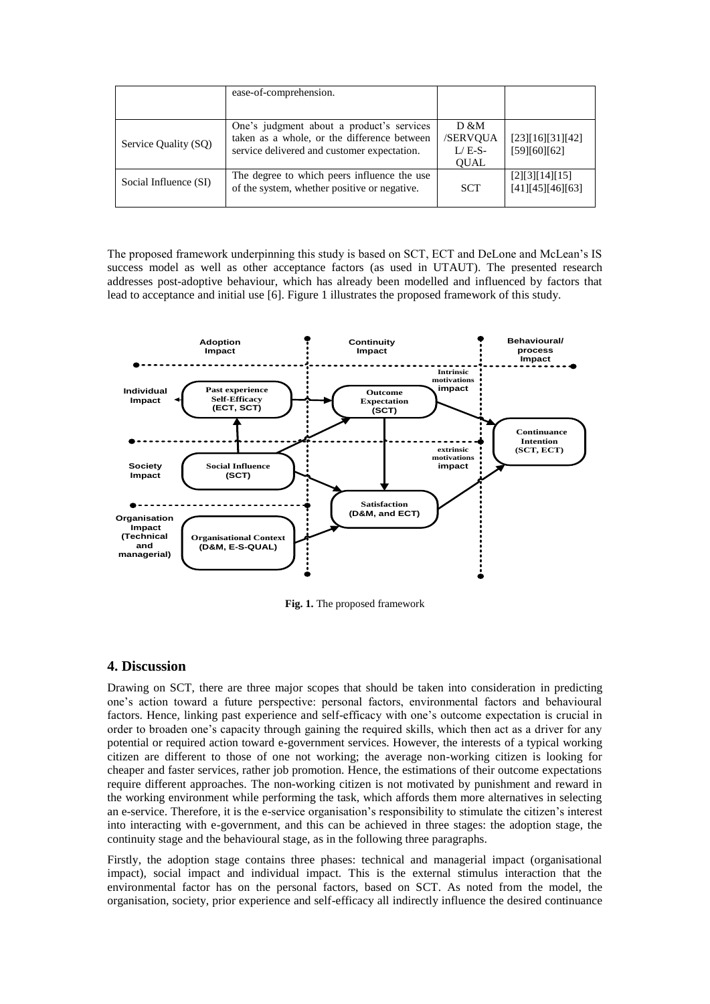|                       | ease-of-comprehension.                                                                                                                  |                                              |                                    |
|-----------------------|-----------------------------------------------------------------------------------------------------------------------------------------|----------------------------------------------|------------------------------------|
| Service Quality (SQ)  | One's judgment about a product's services<br>taken as a whole, or the difference between<br>service delivered and customer expectation. | D &M<br>/SERVOUA<br>$L/E-S$ -<br><b>OUAL</b> | [23][16][31][42]<br>[59][60][62]   |
| Social Influence (SI) | The degree to which peers influence the use<br>of the system, whether positive or negative.                                             | <b>SCT</b>                                   | [2][3][14][15]<br>[41][45][46][63] |

The proposed framework underpinning this study is based on SCT, ECT and DeLone and McLean's IS success model as well as other acceptance factors (as used in UTAUT). The presented research addresses post-adoptive behaviour, which has already been modelled and influenced by factors that lead to acceptance and initial use [6]. Figure 1 illustrates the proposed framework of this study.



**Fig. 1.** The proposed framework

### **4. Discussion**

Drawing on SCT, there are three major scopes that should be taken into consideration in predicting one's action toward a future perspective: personal factors, environmental factors and behavioural factors. Hence, linking past experience and self-efficacy with one's outcome expectation is crucial in order to broaden one's capacity through gaining the required skills, which then act as a driver for any potential or required action toward e-government services. However, the interests of a typical working citizen are different to those of one not working; the average non-working citizen is looking for cheaper and faster services, rather job promotion. Hence, the estimations of their outcome expectations require different approaches. The non-working citizen is not motivated by punishment and reward in the working environment while performing the task, which affords them more alternatives in selecting an e-service. Therefore, it is the e-service organisation's responsibility to stimulate the citizen's interest into interacting with e-government, and this can be achieved in three stages: the adoption stage, the continuity stage and the behavioural stage, as in the following three paragraphs.

Firstly, the adoption stage contains three phases: technical and managerial impact (organisational impact), social impact and individual impact. This is the external stimulus interaction that the environmental factor has on the personal factors, based on SCT. As noted from the model, the organisation, society, prior experience and self-efficacy all indirectly influence the desired continuance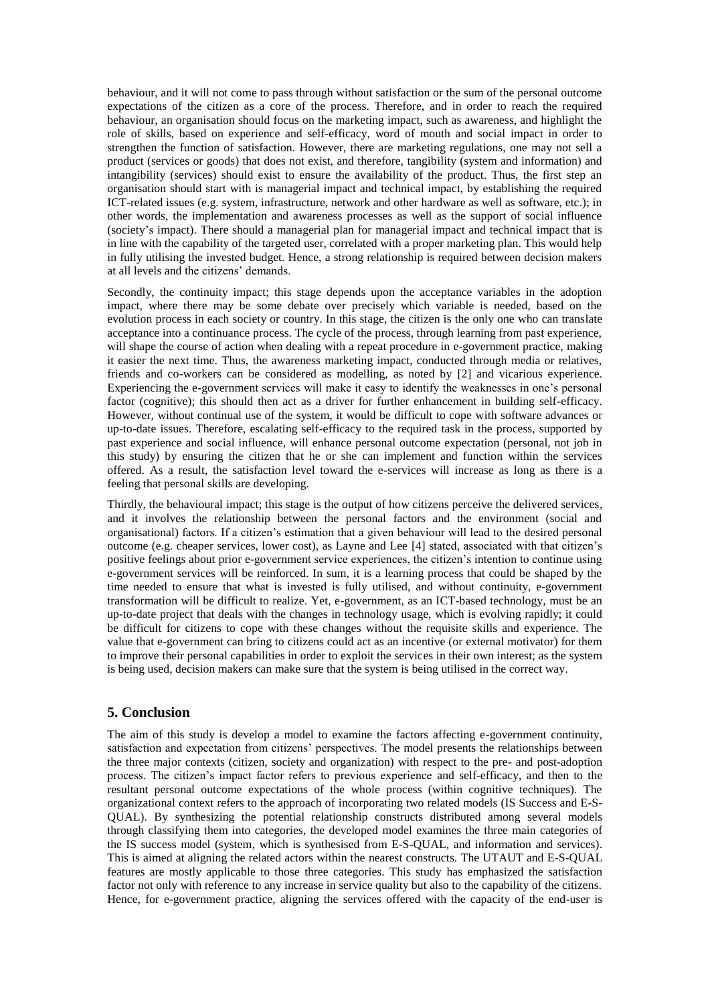behaviour, and it will not come to pass through without satisfaction or the sum of the personal outcome expectations of the citizen as a core of the process. Therefore, and in order to reach the required behaviour, an organisation should focus on the marketing impact, such as awareness, and highlight the role of skills, based on experience and self-efficacy, word of mouth and social impact in order to strengthen the function of satisfaction. However, there are marketing regulations, one may not sell a product (services or goods) that does not exist, and therefore, tangibility (system and information) and intangibility (services) should exist to ensure the availability of the product. Thus, the first step an organisation should start with is managerial impact and technical impact, by establishing the required ICT-related issues (e.g. system, infrastructure, network and other hardware as well as software, etc.); in other words, the implementation and awareness processes as well as the support of social influence (society's impact). There should a managerial plan for managerial impact and technical impact that is in line with the capability of the targeted user, correlated with a proper marketing plan. This would help in fully utilising the invested budget. Hence, a strong relationship is required between decision makers at all levels and the citizens' demands.

Secondly, the continuity impact; this stage depends upon the acceptance variables in the adoption impact, where there may be some debate over precisely which variable is needed, based on the evolution process in each society or country. In this stage, the citizen is the only one who can translate acceptance into a continuance process. The cycle of the process, through learning from past experience, will shape the course of action when dealing with a repeat procedure in e-government practice, making it easier the next time. Thus, the awareness marketing impact, conducted through media or relatives, friends and co-workers can be considered as modelling, as noted by [2] and vicarious experience. Experiencing the e-government services will make it easy to identify the weaknesses in one's personal factor (cognitive); this should then act as a driver for further enhancement in building self-efficacy. However, without continual use of the system, it would be difficult to cope with software advances or up-to-date issues. Therefore, escalating self-efficacy to the required task in the process, supported by past experience and social influence, will enhance personal outcome expectation (personal, not job in this study) by ensuring the citizen that he or she can implement and function within the services offered. As a result, the satisfaction level toward the e-services will increase as long as there is a feeling that personal skills are developing.

Thirdly, the behavioural impact; this stage is the output of how citizens perceive the delivered services, and it involves the relationship between the personal factors and the environment (social and organisational) factors. If a citizen's estimation that a given behaviour will lead to the desired personal outcome (e.g. cheaper services, lower cost), as Layne and Lee [\[4\]](#page-7-2) stated, associated with that citizen's positive feelings about prior e-government service experiences, the citizen's intention to continue using e-government services will be reinforced. In sum, it is a learning process that could be shaped by the time needed to ensure that what is invested is fully utilised, and without continuity, e-government transformation will be difficult to realize. Yet, e-government, as an ICT-based technology, must be an up-to-date project that deals with the changes in technology usage, which is evolving rapidly; it could be difficult for citizens to cope with these changes without the requisite skills and experience. The value that e-government can bring to citizens could act as an incentive (or external motivator) for them to improve their personal capabilities in order to exploit the services in their own interest; as the system is being used, decision makers can make sure that the system is being utilised in the correct way.

### **5. Conclusion**

The aim of this study is develop a model to examine the factors affecting e-government continuity, satisfaction and expectation from citizens' perspectives. The model presents the relationships between the three major contexts (citizen, society and organization) with respect to the pre- and post-adoption process. The citizen's impact factor refers to previous experience and self-efficacy, and then to the resultant personal outcome expectations of the whole process (within cognitive techniques). The organizational context refers to the approach of incorporating two related models (IS Success and E-S-QUAL). By synthesizing the potential relationship constructs distributed among several models through classifying them into categories, the developed model examines the three main categories of the IS success model (system, which is synthesised from E-S-QUAL, and information and services). This is aimed at aligning the related actors within the nearest constructs. The UTAUT and E-S-QUAL features are mostly applicable to those three categories. This study has emphasized the satisfaction factor not only with reference to any increase in service quality but also to the capability of the citizens. Hence, for e-government practice, aligning the services offered with the capacity of the end-user is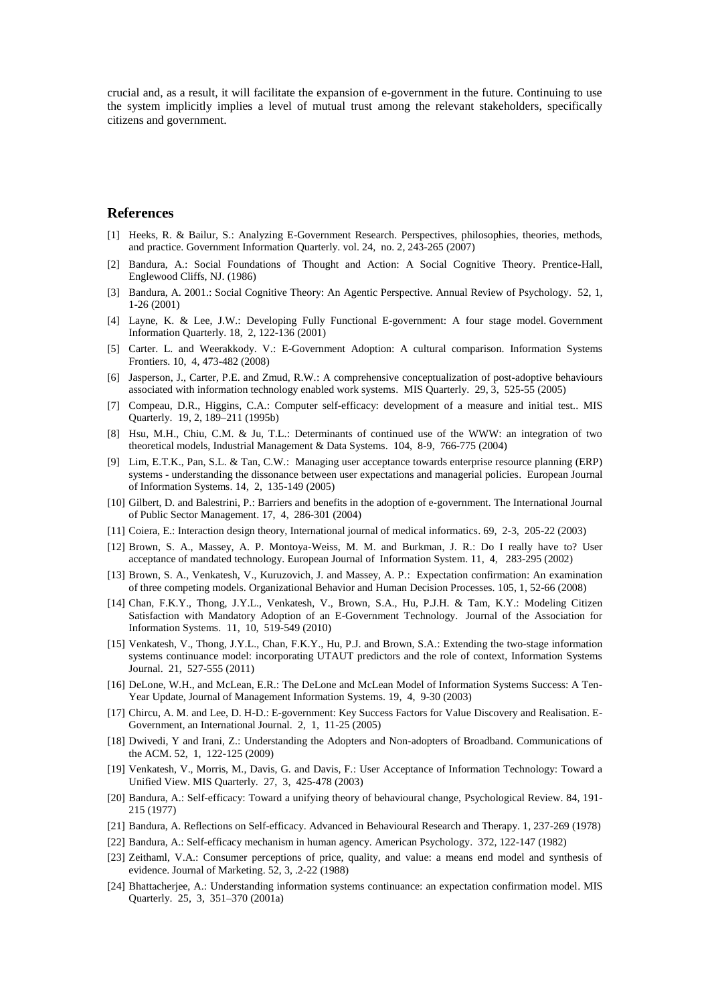crucial and, as a result, it will facilitate the expansion of e-government in the future. Continuing to use the system implicitly implies a level of mutual trust among the relevant stakeholders, specifically citizens and government.

#### **References**

- [1] Heeks, R. & Bailur, S.: Analyzing E-Government Research. Perspectives, philosophies, theories, methods, and practice. Government Information Quarterly. vol. 24, no. 2, 243-265 (2007)
- <span id="page-7-0"></span>[2] Bandura, A.: Social Foundations of Thought and Action: A Social Cognitive Theory. Prentice-Hall, Englewood Cliffs, NJ. (1986)
- <span id="page-7-1"></span>[3] Bandura, A. 2001.: Social Cognitive Theory: An Agentic Perspective. Annual Review of Psychology. 52, 1, 1-26 (2001)
- <span id="page-7-2"></span>[4] Layne, K. & Lee, J.W.: Developing Fully Functional E-government: A four stage model. Government Information Quarterly. 18, 2, 122-136 (2001)
- <span id="page-7-3"></span>[5] Carter. L. and Weerakkody. V.: E-Government Adoption: A cultural comparison. Information Systems Frontiers. 10, 4, 473-482 (2008)
- <span id="page-7-4"></span>[6] Jasperson, J., Carter, P.E. and Zmud, R.W.: A comprehensive conceptualization of post-adoptive behaviours associated with information technology enabled work systems. MIS Quarterly. 29, 3, 525-55 (2005)
- <span id="page-7-5"></span>[7] Compeau, D.R., Higgins, C.A.: Computer self-efficacy: development of a measure and initial test.. MIS Quarterly. 19, 2, 189–211 (1995b)
- <span id="page-7-14"></span>[8] Hsu, M.H., Chiu, C.M. & Ju, T.L.: Determinants of continued use of the WWW: an integration of two theoretical models, Industrial Management & Data Systems. 104, 8-9, 766-775 (2004)
- <span id="page-7-6"></span>[9] Lim, E.T.K., Pan, S.L. & Tan, C.W.: Managing user acceptance towards enterprise resource planning (ERP) systems - understanding the dissonance between user expectations and managerial policies. European Journal of Information Systems. 14, 2, 135-149 (2005)
- <span id="page-7-7"></span>[10] Gilbert, D. and Balestrini, P.: Barriers and benefits in the adoption of e-government. The International Journal of Public Sector Management. 17, 4, 286-301 (2004)
- <span id="page-7-8"></span>[11] Coiera, E.: Interaction design theory, International journal of medical informatics. 69, 2-3, 205-22 (2003)
- <span id="page-7-9"></span>[12] Brown, S. A., Massey, A. P. Montoya-Weiss, M. M. and Burkman, J. R.: Do I really have to? User acceptance of mandated technology. European Journal of Information System. 11, 4, 283-295 (2002)
- [13] Brown, S. A., Venkatesh, V., Kuruzovich, J. and Massey, A. P.: Expectation confirmation: An examination of three competing models. Organizational Behavior and Human Decision Processes. 105, 1, 52-66 (2008)
- <span id="page-7-10"></span>[14] Chan, F.K.Y., Thong, J.Y.L., Venkatesh, V., Brown, S.A., Hu, P.J.H. & Tam, K.Y.: Modeling Citizen Satisfaction with Mandatory Adoption of an E-Government Technology. Journal of the Association for Information Systems. 11, 10, 519-549 (2010)
- <span id="page-7-16"></span>[15] Venkatesh, V., Thong, J.Y.L., Chan, F.K.Y., Hu, P.J. and Brown, S.A.: Extending the two-stage information systems continuance model: incorporating UTAUT predictors and the role of context, Information Systems Journal. 21, 527-555 (2011)
- <span id="page-7-11"></span>[16] DeLone, W.H., and McLean, E.R.: The DeLone and McLean Model of Information Systems Success: A Ten-Year Update, Journal of Management Information Systems. 19, 4, 9-30 (2003)
- <span id="page-7-12"></span>[17] Chircu, A. M. and Lee, D. H-D.: E-government: Key Success Factors for Value Discovery and Realisation. E-Government, an International Journal. 2, 1, 11-25 (2005)
- <span id="page-7-13"></span>[18] Dwivedi, Y and Irani, Z.: Understanding the Adopters and Non-adopters of Broadband. Communications of the ACM. 52, 1, 122-125 (2009)
- <span id="page-7-17"></span>[19] Venkatesh, V., Morris, M., Davis, G. and Davis, F.: User Acceptance of Information Technology: Toward a Unified View. MIS Quarterly. 27, 3, 425-478 (2003)
- <span id="page-7-19"></span>[20] Bandura, A.: Self-efficacy: Toward a unifying theory of behavioural change, Psychological Review. 84, 191- 215 (1977)
- <span id="page-7-21"></span>[21] Bandura, A. Reflections on Self-efficacy. Advanced in Behavioural Research and Therapy. 1, 237-269 (1978)
- <span id="page-7-20"></span>[22] Bandura, A.: Self-efficacy mechanism in human agency. American Psychology. 372, 122-147 (1982)
- <span id="page-7-15"></span>[23] Zeithaml, V.A.: Consumer perceptions of price, quality, and value: a means end model and synthesis of evidence. Journal of Marketing. 52, 3, .2-22 (1988)
- <span id="page-7-18"></span>[24] Bhattacherjee, A.: Understanding information systems continuance: an expectation confirmation model. MIS Quarterly. 25, 3, 351–370 (2001a)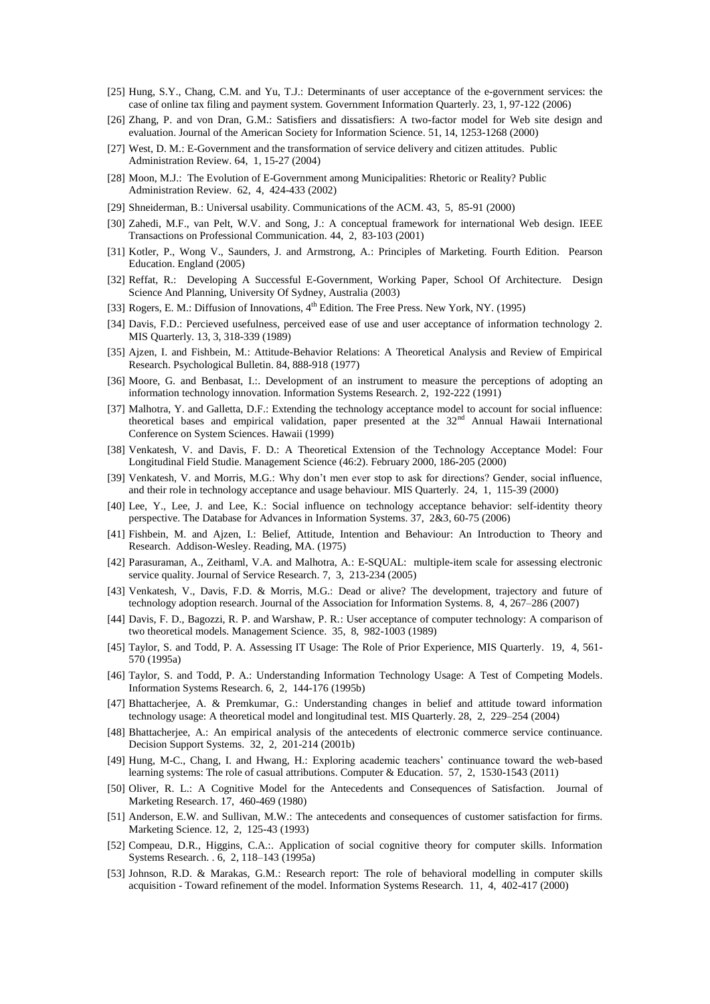- <span id="page-8-0"></span>[25] Hung, S.Y., Chang, C.M. and Yu, T.J.: Determinants of user acceptance of the e-government services: the case of online tax filing and payment system. Government Information Quarterly. 23, 1, 97-122 (2006)
- [26] Zhang, P. and von Dran, G.M.: Satisfiers and dissatisfiers: A two-factor model for Web site design and evaluation. Journal of the American Society for Information Science. 51, 14, 1253-1268 (2000)
- <span id="page-8-1"></span>[27] West, D. M.: E-Government and the transformation of service delivery and citizen attitudes. Public Administration Review. 64, 1, 15-27 (2004)
- <span id="page-8-19"></span>[28] Moon, M.J.: The Evolution of E-Government among Municipalities: Rhetoric or Reality? Public Administration Review. 62, 4, 424-433 (2002)
- <span id="page-8-2"></span>[29] Shneiderman, B.: Universal usability. Communications of the ACM. 43, 5, 85-91 (2000)
- [30] Zahedi, M.F., van Pelt, W.V. and Song, J.: A conceptual framework for international Web design. IEEE Transactions on Professional Communication. 44, 2, 83-103 (2001)
- <span id="page-8-3"></span>[31] Kotler, P., Wong V., Saunders, J. and Armstrong, A.: Principles of Marketing. Fourth Edition. Pearson Education. England (2005)
- <span id="page-8-4"></span>[32] Reffat, R.: Developing A Successful E-Government, Working Paper, School Of Architecture. Design Science And Planning, University Of Sydney, Australia (2003)
- <span id="page-8-5"></span>[33] Rogers, E. M.: Diffusion of Innovations,  $4<sup>th</sup>$  Edition. The Free Press. New York, NY. (1995)
- <span id="page-8-6"></span>[34] Davis, F.D.: Percieved usefulness, perceived ease of use and user acceptance of information technology 2. MIS Quarterly. 13, 3, 318-339 (1989)
- <span id="page-8-7"></span>[35] Ajzen, I. and Fishbein, M.: Attitude-Behavior Relations: A Theoretical Analysis and Review of Empirical Research. Psychological Bulletin. 84, 888-918 (1977)
- <span id="page-8-8"></span>[36] Moore, G. and Benbasat, I.:. Development of an instrument to measure the perceptions of adopting an information technology innovation. Information Systems Research. 2, 192-222 (1991)
- <span id="page-8-9"></span>[37] Malhotra, Y. and Galletta, D.F.: Extending the technology acceptance model to account for social influence: theoretical bases and empirical validation, paper presented at the 32nd Annual Hawaii International Conference on System Sciences. Hawaii (1999)
- <span id="page-8-10"></span>[38] Venkatesh, V. and Davis, F. D.: A Theoretical Extension of the Technology Acceptance Model: Four Longitudinal Field Studie. Management Science (46:2). February 2000, 186-205 (2000)
- [39] Venkatesh, V. and Morris, M.G.: Why don't men ever stop to ask for directions? Gender, social influence, and their role in technology acceptance and usage behaviour. MIS Quarterly. 24, 1, 115-39 (2000)
- [40] Lee, Y., Lee, J. and Lee, K.: Social influence on technology acceptance behavior: self-identity theory perspective. The Database for Advances in Information Systems. 37, 2&3, 60-75 (2006)
- <span id="page-8-22"></span>[41] Fishbein, M. and Ajzen, I.: Belief, Attitude, Intention and Behaviour: An Introduction to Theory and Research. Addison-Wesley. Reading, MA. (1975)
- <span id="page-8-11"></span>[42] Parasuraman, A., Zeithaml, V.A. and Malhotra, A.: E-SQUAL: multiple-item scale for assessing electronic service quality. Journal of Service Research. 7, 3, 213-234 (2005)
- <span id="page-8-12"></span>[43] Venkatesh, V., Davis, F.D. & Morris, M.G.: Dead or alive? The development, trajectory and future of technology adoption research. Journal of the Association for Information Systems. 8, 4, 267–286 (2007)
- <span id="page-8-13"></span>[44] Davis, F. D., Bagozzi, R. P. and Warshaw, P. R.: User acceptance of computer technology: A comparison of two theoretical models. Management Science. 35, 8, 982-1003 (1989)
- [45] Taylor, S. and Todd, P. A. Assessing IT Usage: The Role of Prior Experience, MIS Quarterly. 19, 4, 561- 570 (1995a)
- <span id="page-8-23"></span>[46] Taylor, S. and Todd, P. A.: Understanding Information Technology Usage: A Test of Competing Models. Information Systems Research. 6, 2, 144-176 (1995b)
- <span id="page-8-20"></span>[47] Bhattacherjee, A. & Premkumar, G.: Understanding changes in belief and attitude toward information technology usage: A theoretical model and longitudinal test. MIS Quarterly. 28, 2, 229–254 (2004)
- <span id="page-8-14"></span>[48] Bhattacherjee, A.: An empirical analysis of the antecedents of electronic commerce service continuance. Decision Support Systems. 32, 2, 201-214 (2001b)
- <span id="page-8-15"></span>[49] Hung, M-C., Chang, I. and Hwang, H.: Exploring academic teachers' continuance toward the web-based learning systems: The role of casual attributions. Computer & Education. 57, 2, 1530-1543 (2011)
- <span id="page-8-21"></span>[50] Oliver, R. L.: A Cognitive Model for the Antecedents and Consequences of Satisfaction. Journal of Marketing Research. 17, 460-469 (1980)
- <span id="page-8-16"></span>[51] Anderson, E.W. and Sullivan, M.W.: The antecedents and consequences of customer satisfaction for firms. Marketing Science. 12, 2, 125-43 (1993)
- <span id="page-8-17"></span>[52] Compeau, D.R., Higgins, C.A.:. Application of social cognitive theory for computer skills. Information Systems Research. . 6, 2, 118–143 (1995a)
- <span id="page-8-18"></span>[53] Johnson, R.D. & Marakas, G.M.: Research report: The role of behavioral modelling in computer skills acquisition - Toward refinement of the model. Information Systems Research. 11, 4, 402-417 (2000)